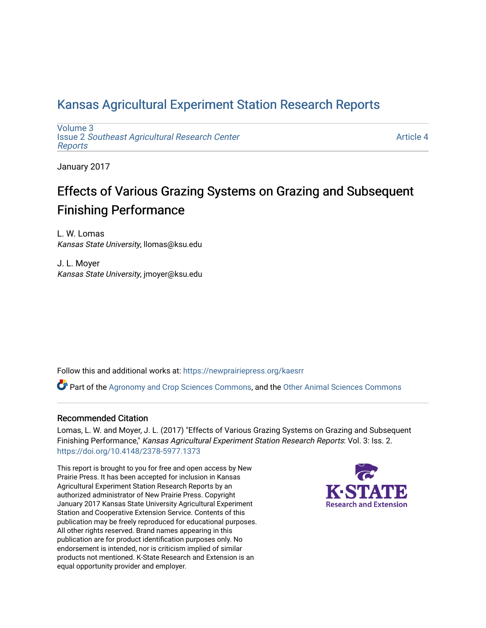### [Kansas Agricultural Experiment Station Research Reports](https://newprairiepress.org/kaesrr)

[Volume 3](https://newprairiepress.org/kaesrr/vol3) Issue 2 [Southeast Agricultural Research Center](https://newprairiepress.org/kaesrr/vol3/iss2) [Reports](https://newprairiepress.org/kaesrr/vol3/iss2)

[Article 4](https://newprairiepress.org/kaesrr/vol3/iss2/4) 

January 2017

### Effects of Various Grazing Systems on Grazing and Subsequent Finishing Performance

L. W. Lomas Kansas State University, llomas@ksu.edu

J. L. Moyer Kansas State University, jmoyer@ksu.edu

Follow this and additional works at: [https://newprairiepress.org/kaesrr](https://newprairiepress.org/kaesrr?utm_source=newprairiepress.org%2Fkaesrr%2Fvol3%2Fiss2%2F4&utm_medium=PDF&utm_campaign=PDFCoverPages) 

Part of the [Agronomy and Crop Sciences Commons,](http://network.bepress.com/hgg/discipline/103?utm_source=newprairiepress.org%2Fkaesrr%2Fvol3%2Fiss2%2F4&utm_medium=PDF&utm_campaign=PDFCoverPages) and the [Other Animal Sciences Commons](http://network.bepress.com/hgg/discipline/82?utm_source=newprairiepress.org%2Fkaesrr%2Fvol3%2Fiss2%2F4&utm_medium=PDF&utm_campaign=PDFCoverPages) 

### Recommended Citation

Lomas, L. W. and Moyer, J. L. (2017) "Effects of Various Grazing Systems on Grazing and Subsequent Finishing Performance," Kansas Agricultural Experiment Station Research Reports: Vol. 3: Iss. 2. <https://doi.org/10.4148/2378-5977.1373>

This report is brought to you for free and open access by New Prairie Press. It has been accepted for inclusion in Kansas Agricultural Experiment Station Research Reports by an authorized administrator of New Prairie Press. Copyright January 2017 Kansas State University Agricultural Experiment Station and Cooperative Extension Service. Contents of this publication may be freely reproduced for educational purposes. All other rights reserved. Brand names appearing in this publication are for product identification purposes only. No endorsement is intended, nor is criticism implied of similar products not mentioned. K-State Research and Extension is an equal opportunity provider and employer.

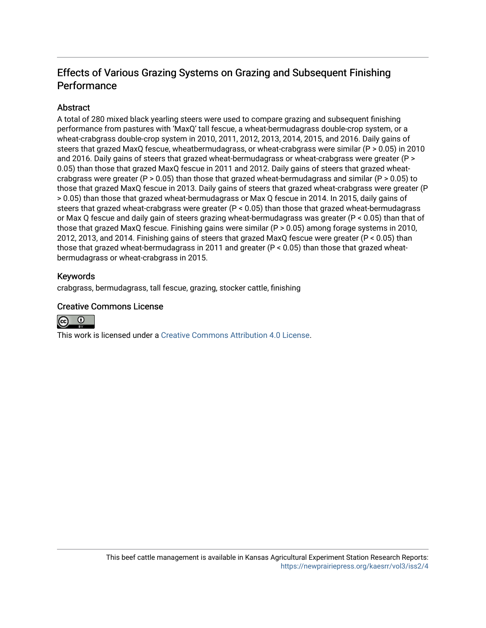### Effects of Various Grazing Systems on Grazing and Subsequent Finishing **Performance**

### **Abstract**

A total of 280 mixed black yearling steers were used to compare grazing and subsequent finishing performance from pastures with 'MaxQ' tall fescue, a wheat-bermudagrass double-crop system, or a wheat-crabgrass double-crop system in 2010, 2011, 2012, 2013, 2014, 2015, and 2016. Daily gains of steers that grazed MaxQ fescue, wheatbermudagrass, or wheat-crabgrass were similar (P > 0.05) in 2010 and 2016. Daily gains of steers that grazed wheat-bermudagrass or wheat-crabgrass were greater (P > 0.05) than those that grazed MaxQ fescue in 2011 and 2012. Daily gains of steers that grazed wheatcrabgrass were greater (P > 0.05) than those that grazed wheat-bermudagrass and similar (P > 0.05) to those that grazed MaxQ fescue in 2013. Daily gains of steers that grazed wheat-crabgrass were greater (P > 0.05) than those that grazed wheat-bermudagrass or Max Q fescue in 2014. In 2015, daily gains of steers that grazed wheat-crabgrass were greater (P < 0.05) than those that grazed wheat-bermudagrass or Max Q fescue and daily gain of steers grazing wheat-bermudagrass was greater (P < 0.05) than that of those that grazed MaxQ fescue. Finishing gains were similar (P > 0.05) among forage systems in 2010, 2012, 2013, and 2014. Finishing gains of steers that grazed MaxQ fescue were greater (P < 0.05) than those that grazed wheat-bermudagrass in 2011 and greater (P < 0.05) than those that grazed wheatbermudagrass or wheat-crabgrass in 2015.

### Keywords

crabgrass, bermudagrass, tall fescue, grazing, stocker cattle, finishing

### Creative Commons License



This work is licensed under a [Creative Commons Attribution 4.0 License](https://creativecommons.org/licenses/by/4.0/).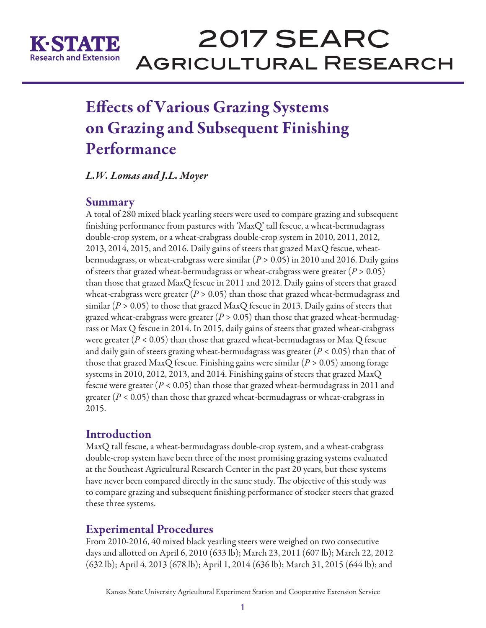

## Effects of Various Grazing Systems on Grazing and Subsequent Finishing Performance

*L.W. Lomas and J.L. Moyer*

### Summary

A total of 280 mixed black yearling steers were used to compare grazing and subsequent finishing performance from pastures with 'MaxQ' tall fescue, a wheat-bermudagrass double-crop system, or a wheat-crabgrass double-crop system in 2010, 2011, 2012, 2013, 2014, 2015, and 2016. Daily gains of steers that grazed MaxQ fescue, wheatbermudagrass, or wheat-crabgrass were similar (*P* > 0.05) in 2010 and 2016. Daily gains of steers that grazed wheat-bermudagrass or wheat-crabgrass were greater (*P* > 0.05) than those that grazed MaxQ fescue in 2011 and 2012. Daily gains of steers that grazed wheat-crabgrass were greater (*P* > 0.05) than those that grazed wheat-bermudagrass and similar ( $P > 0.05$ ) to those that grazed MaxQ fescue in 2013. Daily gains of steers that grazed wheat-crabgrass were greater (*P* > 0.05) than those that grazed wheat-bermudagrass or Max Q fescue in 2014. In 2015, daily gains of steers that grazed wheat-crabgrass were greater ( $P < 0.05$ ) than those that grazed wheat-bermudagrass or Max Q fescue and daily gain of steers grazing wheat-bermudagrass was greater (*P* < 0.05) than that of those that grazed MaxQ fescue. Finishing gains were similar  $(P > 0.05)$  among forage systems in 2010, 2012, 2013, and 2014. Finishing gains of steers that grazed MaxQ fescue were greater (*P* < 0.05) than those that grazed wheat-bermudagrass in 2011 and greater (*P* < 0.05) than those that grazed wheat-bermudagrass or wheat-crabgrass in 2015.

### Introduction

MaxQ tall fescue, a wheat-bermudagrass double-crop system, and a wheat-crabgrass double-crop system have been three of the most promising grazing systems evaluated at the Southeast Agricultural Research Center in the past 20 years, but these systems have never been compared directly in the same study. The objective of this study was to compare grazing and subsequent finishing performance of stocker steers that grazed these three systems.

### Experimental Procedures

From 2010-2016, 40 mixed black yearling steers were weighed on two consecutive days and allotted on April 6, 2010 (633 lb); March 23, 2011 (607 lb); March 22, 2012 (632 lb); April 4, 2013 (678 lb); April 1, 2014 (636 lb); March 31, 2015 (644 lb); and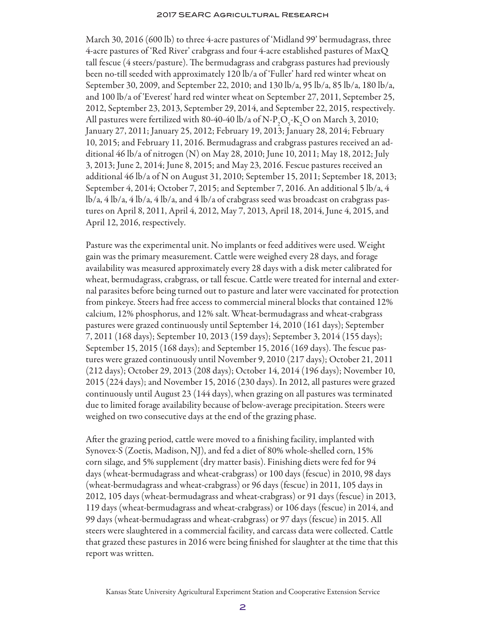March 30, 2016 (600 lb) to three 4-acre pastures of 'Midland 99' bermudagrass, three 4-acre pastures of 'Red River' crabgrass and four 4-acre established pastures of MaxQ tall fescue (4 steers/pasture). The bermudagrass and crabgrass pastures had previously been no-till seeded with approximately 120 lb/a of 'Fuller' hard red winter wheat on September 30, 2009, and September 22, 2010; and 130 lb/a, 95 lb/a, 85 lb/a, 180 lb/a, and 100 lb/a of 'Everest' hard red winter wheat on September 27, 2011, September 25, 2012, September 23, 2013, September 29, 2014, and September 22, 2015, respectively. All pastures were fertilized with 80-40-40 lb/a of N-P<sub>2</sub>O<sub>5</sub>-K<sub>2</sub>O on March 3, 2010; January 27, 2011; January 25, 2012; February 19, 2013; January 28, 2014; February 10, 2015; and February 11, 2016. Bermudagrass and crabgrass pastures received an additional 46 lb/a of nitrogen (N) on May 28, 2010; June 10, 2011; May 18, 2012; July 3, 2013; June 2, 2014; June 8, 2015; and May 23, 2016. Fescue pastures received an additional 46 lb/a of N on August 31, 2010; September 15, 2011; September 18, 2013; September 4, 2014; October 7, 2015; and September 7, 2016. An additional 5 lb/a, 4 lb/a, 4 lb/a, 4 lb/a, 4 lb/a, and 4 lb/a of crabgrass seed was broadcast on crabgrass pastures on April 8, 2011, April 4, 2012, May 7, 2013, April 18, 2014, June 4, 2015, and April 12, 2016, respectively.

Pasture was the experimental unit. No implants or feed additives were used. Weight gain was the primary measurement. Cattle were weighed every 28 days, and forage availability was measured approximately every 28 days with a disk meter calibrated for wheat, bermudagrass, crabgrass, or tall fescue. Cattle were treated for internal and external parasites before being turned out to pasture and later were vaccinated for protection from pinkeye. Steers had free access to commercial mineral blocks that contained 12% calcium, 12% phosphorus, and 12% salt. Wheat-bermudagrass and wheat-crabgrass pastures were grazed continuously until September 14, 2010 (161 days); September 7, 2011 (168 days); September 10, 2013 (159 days); September 3, 2014 (155 days); September 15, 2015 (168 days); and September 15, 2016 (169 days). The fescue pastures were grazed continuously until November 9, 2010 (217 days); October 21, 2011 (212 days); October 29, 2013 (208 days); October 14, 2014 (196 days); November 10, 2015 (224 days); and November 15, 2016 (230 days). In 2012, all pastures were grazed continuously until August 23 (144 days), when grazing on all pastures was terminated due to limited forage availability because of below-average precipitation. Steers were weighed on two consecutive days at the end of the grazing phase.

After the grazing period, cattle were moved to a finishing facility, implanted with Synovex-S (Zoetis, Madison, NJ), and fed a diet of 80% whole-shelled corn, 15% corn silage, and 5% supplement (dry matter basis). Finishing diets were fed for 94 days (wheat-bermudagrass and wheat-crabgrass) or 100 days (fescue) in 2010, 98 days (wheat-bermudagrass and wheat-crabgrass) or 96 days (fescue) in 2011, 105 days in 2012, 105 days (wheat-bermudagrass and wheat-crabgrass) or 91 days (fescue) in 2013, 119 days (wheat-bermudagrass and wheat-crabgrass) or 106 days (fescue) in 2014, and 99 days (wheat-bermudagrass and wheat-crabgrass) or 97 days (fescue) in 2015. All steers were slaughtered in a commercial facility, and carcass data were collected. Cattle that grazed these pastures in 2016 were being finished for slaughter at the time that this report was written.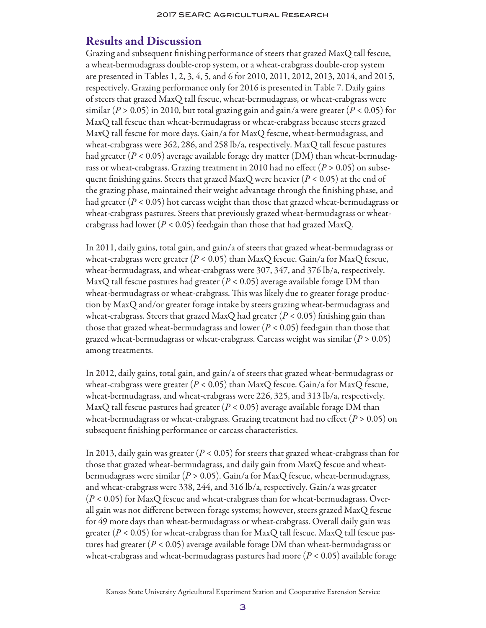### Results and Discussion

Grazing and subsequent finishing performance of steers that grazed MaxQ tall fescue, a wheat-bermudagrass double-crop system, or a wheat-crabgrass double-crop system are presented in Tables 1, 2, 3, 4, 5, and 6 for 2010, 2011, 2012, 2013, 2014, and 2015, respectively. Grazing performance only for 2016 is presented in Table 7. Daily gains of steers that grazed MaxQ tall fescue, wheat-bermudagrass, or wheat-crabgrass were similar ( $P > 0.05$ ) in 2010, but total grazing gain and gain/a were greater ( $P < 0.05$ ) for MaxQ tall fescue than wheat-bermudagrass or wheat-crabgrass because steers grazed MaxQ tall fescue for more days. Gain/a for MaxQ fescue, wheat-bermudagrass, and wheat-crabgrass were 362, 286, and 258 lb/a, respectively. MaxQ tall fescue pastures had greater (*P* < 0.05) average available forage dry matter (DM) than wheat-bermudagrass or wheat-crabgrass. Grazing treatment in 2010 had no effect (*P* > 0.05) on subsequent finishing gains. Steers that grazed MaxQ were heavier (*P* < 0.05) at the end of the grazing phase, maintained their weight advantage through the finishing phase, and had greater  $(P < 0.05)$  hot carcass weight than those that grazed wheat-bermudagrass or wheat-crabgrass pastures. Steers that previously grazed wheat-bermudagrass or wheatcrabgrass had lower (*P* < 0.05) feed:gain than those that had grazed MaxQ.

In 2011, daily gains, total gain, and gain/a of steers that grazed wheat-bermudagrass or wheat-crabgrass were greater  $(P < 0.05)$  than MaxQ fescue. Gain/a for MaxQ fescue, wheat-bermudagrass, and wheat-crabgrass were 307, 347, and 376 lb/a, respectively. MaxQ tall fescue pastures had greater (*P* < 0.05) average available forage DM than wheat-bermudagrass or wheat-crabgrass. This was likely due to greater forage production by MaxQ and/or greater forage intake by steers grazing wheat-bermudagrass and wheat-crabgrass. Steers that grazed MaxQ had greater ( $P < 0.05$ ) finishing gain than those that grazed wheat-bermudagrass and lower (*P* < 0.05) feed:gain than those that grazed wheat-bermudagrass or wheat-crabgrass. Carcass weight was similar (*P* > 0.05) among treatments.

In 2012, daily gains, total gain, and gain/a of steers that grazed wheat-bermudagrass or wheat-crabgrass were greater  $(P < 0.05)$  than MaxQ fescue. Gain/a for MaxQ fescue, wheat-bermudagrass, and wheat-crabgrass were 226, 325, and 313 lb/a, respectively. MaxQ tall fescue pastures had greater  $(P < 0.05)$  average available forage DM than wheat-bermudagrass or wheat-crabgrass. Grazing treatment had no effect (*P* > 0.05) on subsequent finishing performance or carcass characteristics.

In 2013, daily gain was greater (*P* < 0.05) for steers that grazed wheat-crabgrass than for those that grazed wheat-bermudagrass, and daily gain from MaxQ fescue and wheatbermudagrass were similar (*P* > 0.05). Gain/a for MaxQ fescue, wheat-bermudagrass, and wheat-crabgrass were 338, 244, and 316 lb/a, respectively. Gain/a was greater (*P* < 0.05) for MaxQ fescue and wheat-crabgrass than for wheat-bermudagrass. Overall gain was not different between forage systems; however, steers grazed MaxQ fescue for 49 more days than wheat-bermudagrass or wheat-crabgrass. Overall daily gain was greater ( $P < 0.05$ ) for wheat-crabgrass than for MaxQ tall fescue. MaxQ tall fescue pastures had greater (*P* < 0.05) average available forage DM than wheat-bermudagrass or wheat-crabgrass and wheat-bermudagrass pastures had more (*P* < 0.05) available forage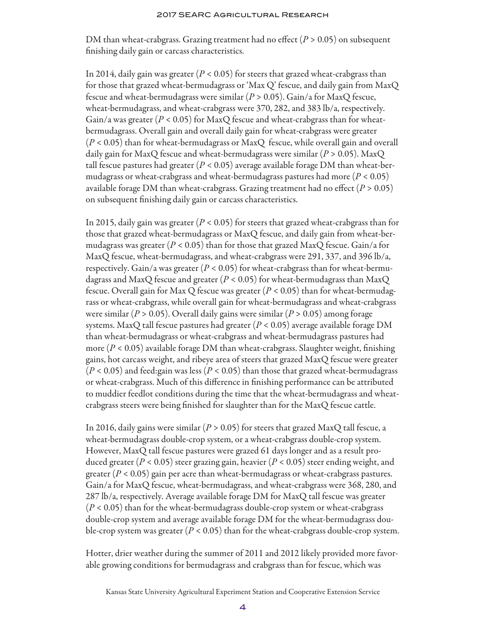DM than wheat-crabgrass. Grazing treatment had no effect (*P* > 0.05) on subsequent finishing daily gain or carcass characteristics.

In 2014, daily gain was greater  $(P < 0.05)$  for steers that grazed wheat-crabgrass than for those that grazed wheat-bermudagrass or 'Max Q' fescue, and daily gain from MaxQ fescue and wheat-bermudagrass were similar (*P* > 0.05). Gain/a for MaxQ fescue, wheat-bermudagrass, and wheat-crabgrass were 370, 282, and 383 lb/a, respectively. Gain/a was greater  $(P < 0.05)$  for MaxQ fescue and wheat-crabgrass than for wheatbermudagrass. Overall gain and overall daily gain for wheat-crabgrass were greater (*P* < 0.05) than for wheat-bermudagrass or MaxQ fescue, while overall gain and overall daily gain for MaxQ fescue and wheat-bermudagrass were similar (*P* > 0.05). MaxQ tall fescue pastures had greater  $(P < 0.05)$  average available forage DM than wheat-bermudagrass or wheat-crabgrass and wheat-bermudagrass pastures had more (*P* < 0.05) available forage DM than wheat-crabgrass. Grazing treatment had no effect  $(P > 0.05)$ on subsequent finishing daily gain or carcass characteristics.

In 2015, daily gain was greater (*P* < 0.05) for steers that grazed wheat-crabgrass than for those that grazed wheat-bermudagrass or MaxQ fescue, and daily gain from wheat-bermudagrass was greater ( $P < 0.05$ ) than for those that grazed MaxQ fescue. Gain/a for MaxQ fescue, wheat-bermudagrass, and wheat-crabgrass were 291, 337, and 396 lb/a, respectively. Gain/a was greater  $(P < 0.05)$  for wheat-crabgrass than for wheat-bermudagrass and MaxQ fescue and greater (*P* < 0.05) for wheat-bermudagrass than MaxQ fescue. Overall gain for Max Q fescue was greater (*P* < 0.05) than for wheat-bermudagrass or wheat-crabgrass, while overall gain for wheat-bermudagrass and wheat-crabgrass were similar (*P* > 0.05). Overall daily gains were similar (*P* > 0.05) among forage systems. MaxQ tall fescue pastures had greater (*P* < 0.05) average available forage DM than wheat-bermudagrass or wheat-crabgrass and wheat-bermudagrass pastures had more (*P* < 0.05) available forage DM than wheat-crabgrass. Slaughter weight, finishing gains, hot carcass weight, and ribeye area of steers that grazed MaxQ fescue were greater  $(P < 0.05)$  and feed:gain was less ( $P < 0.05$ ) than those that grazed wheat-bermudagrass or wheat-crabgrass. Much of this difference in finishing performance can be attributed to muddier feedlot conditions during the time that the wheat-bermudagrass and wheatcrabgrass steers were being finished for slaughter than for the MaxQ fescue cattle.

In 2016, daily gains were similar ( $P > 0.05$ ) for steers that grazed MaxQ tall fescue, a wheat-bermudagrass double-crop system, or a wheat-crabgrass double-crop system. However, MaxQ tall fescue pastures were grazed 61 days longer and as a result produced greater (*P* < 0.05) steer grazing gain, heavier (*P* < 0.05) steer ending weight, and greater (*P* < 0.05) gain per acre than wheat-bermudagrass or wheat-crabgrass pastures. Gain/a for MaxQ fescue, wheat-bermudagrass, and wheat-crabgrass were 368, 280, and 287 lb/a, respectively. Average available forage DM for MaxQ tall fescue was greater (*P* < 0.05) than for the wheat-bermudagrass double-crop system or wheat-crabgrass double-crop system and average available forage DM for the wheat-bermudagrass double-crop system was greater  $(P < 0.05)$  than for the wheat-crabgrass double-crop system.

Hotter, drier weather during the summer of 2011 and 2012 likely provided more favorable growing conditions for bermudagrass and crabgrass than for fescue, which was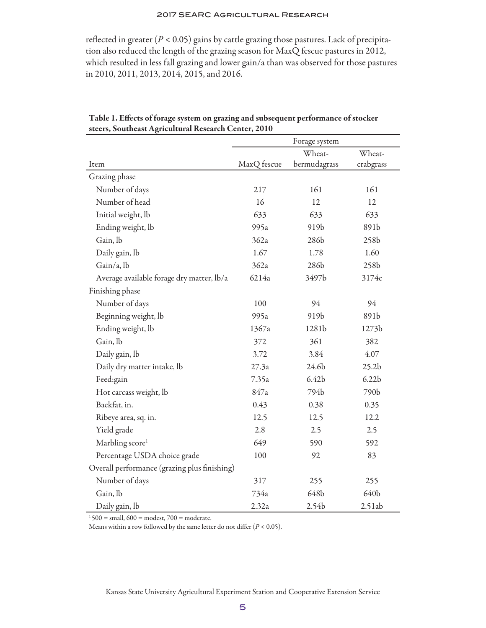reflected in greater  $(P < 0.05)$  gains by cattle grazing those pastures. Lack of precipitation also reduced the length of the grazing season for MaxQ fescue pastures in 2012, which resulted in less fall grazing and lower gain/a than was observed for those pastures in 2010, 2011, 2013, 2014, 2015, and 2016.

|                                              |             | Forage system     |                   |
|----------------------------------------------|-------------|-------------------|-------------------|
|                                              |             | Wheat-            | Wheat-            |
| Item                                         | MaxQ fescue | bermudagrass      | crabgrass         |
| Grazing phase                                |             |                   |                   |
| Number of days                               | 217         | 161               | 161               |
| Number of head                               | 16          | 12                | 12                |
| Initial weight, lb                           | 633         | 633               | 633               |
| Ending weight, lb                            | 995a        | 919b              | 891b              |
| Gain, lb                                     | 362a        | 286b              | 258 <sub>b</sub>  |
| Daily gain, lb                               | 1.67        | 1.78              | 1.60              |
| Gain/a, lb                                   | 362a        | 286b              | 258b              |
| Average available forage dry matter, lb/a    | 6214a       | 3497b             | 3174c             |
| Finishing phase                              |             |                   |                   |
| Number of days                               | 100         | 94                | 94                |
| Beginning weight, lb                         | 995a        | 919b              | 891b              |
| Ending weight, lb                            | 1367a       | 1281b             | 1273b             |
| Gain, lb                                     | 372         | 361               | 382               |
| Daily gain, lb                               | 3.72        | 3.84              | 4.07              |
| Daily dry matter intake, lb                  | 27.3a       | 24.6b             | 25.2 <sub>b</sub> |
| Feed:gain                                    | 7.35a       | 6.42 <sub>b</sub> | 6.22 <sub>b</sub> |
| Hot carcass weight, lb                       | 847a        | 794b              | 790b              |
| Backfat, in.                                 | 0.43        | 0.38              | 0.35              |
| Ribeye area, sq. in.                         | 12.5        | 12.5              | 12.2              |
| Yield grade                                  | 2.8         | 2.5               | 2.5               |
| Marbling score <sup>1</sup>                  | 649         | 590               | 592               |
| Percentage USDA choice grade                 | 100         | 92                | 83                |
| Overall performance (grazing plus finishing) |             |                   |                   |
| Number of days                               | 317         | 255               | 255               |
| Gain, lb                                     | 734a        | 648b              | 640b              |
| Daily gain, lb                               | 2.32a       | 2.54b             | 2.51ab            |

Table 1. Effects of forage system on grazing and subsequent performance of stocker steers, Southeast Agricultural Research Center, 2010

 $1500 =$  small,  $600 =$  modest,  $700 =$  moderate.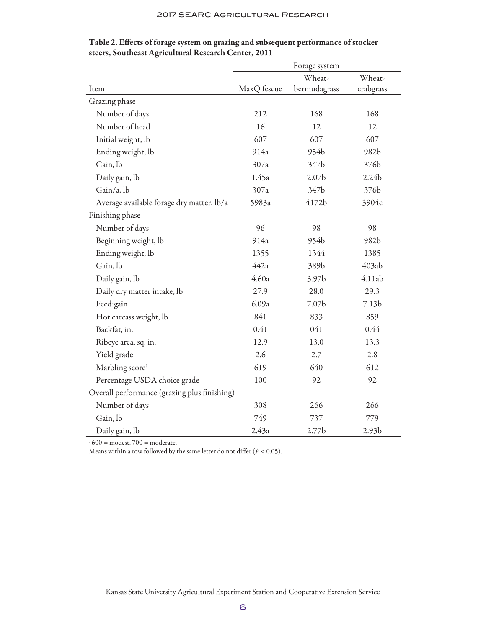|                                              | Forage system |                   |                   |
|----------------------------------------------|---------------|-------------------|-------------------|
|                                              |               | Wheat-            | Wheat-            |
| Item                                         | MaxQ fescue   | bermudagrass      | crabgrass         |
| Grazing phase                                |               |                   |                   |
| Number of days                               | 212           | 168               | 168               |
| Number of head                               | 16            | 12                | 12                |
| Initial weight, lb                           | 607           | 607               | 607               |
| Ending weight, lb                            | 914a          | 954b              | 982b              |
| Gain, lb                                     | 307a          | 347b              | 376b              |
| Daily gain, lb                               | 1.45a         | 2.07 <sub>b</sub> | 2.24 <sub>b</sub> |
| Gain/a, lb                                   | 307a          | 347b              | 376b              |
| Average available forage dry matter, lb/a    | 5983a         | 4172b             | 3904c             |
| Finishing phase                              |               |                   |                   |
| Number of days                               | 96            | 98                | 98                |
| Beginning weight, lb                         | 914a          | 954b              | 982b              |
| Ending weight, lb                            | 1355          | 1344              | 1385              |
| Gain, lb                                     | 442a          | 389b              | 403ab             |
| Daily gain, lb                               | 4.60a         | 3.97 <sub>b</sub> | 4.11ab            |
| Daily dry matter intake, lb                  | 27.9          | 28.0              | 29.3              |
| Feed:gain                                    | 6.09a         | 7.07 <sub>b</sub> | 7.13 <sub>b</sub> |
| Hot carcass weight, lb                       | 841           | 833               | 859               |
| Backfat, in.                                 | 0.41          | 041               | 0.44              |
| Ribeye area, sq. in.                         | 12.9          | 13.0              | 13.3              |
| Yield grade                                  | 2.6           | 2.7               | 2.8               |
| Marbling score <sup>1</sup>                  | 619           | 640               | 612               |
| Percentage USDA choice grade                 | 100           | 92                | 92                |
| Overall performance (grazing plus finishing) |               |                   |                   |
| Number of days                               | 308           | 266               | 266               |
| Gain, lb                                     | 749           | 737               | 779               |
| Daily gain, lb                               | 2.43a         | 2.77 <sub>b</sub> | 2.93 <sub>b</sub> |

| Table 2. Effects of forage system on grazing and subsequent performance of stocker |  |  |
|------------------------------------------------------------------------------------|--|--|
| steers, Southeast Agricultural Research Center, 2011                               |  |  |

 $1600$  = modest,  $700$  = moderate.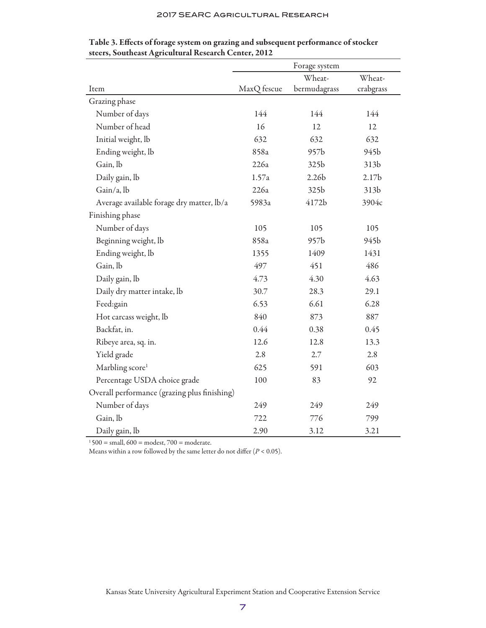|                                              | Forage system |                   |                   |
|----------------------------------------------|---------------|-------------------|-------------------|
|                                              |               | Wheat-            | Wheat-            |
| Item                                         | MaxQ fescue   | bermudagrass      | crabgrass         |
| Grazing phase                                |               |                   |                   |
| Number of days                               | 144           | 144               | 144               |
| Number of head                               | 16            | 12                | 12                |
| Initial weight, lb                           | 632           | 632               | 632               |
| Ending weight, lb                            | 858a          | 957b              | 945b              |
| Gain, lb                                     | 226a          | 325b              | 313b              |
| Daily gain, lb                               | 1.57a         | 2.26 <sub>b</sub> | 2.17 <sub>b</sub> |
| Gain/a, lb                                   | 226a          | 325b              | 313b              |
| Average available forage dry matter, lb/a    | 5983a         | 4172b             | 3904c             |
| Finishing phase                              |               |                   |                   |
| Number of days                               | 105           | 105               | 105               |
| Beginning weight, lb                         | 858a          | 957b              | 945b              |
| Ending weight, lb                            | 1355          | 1409              | 1431              |
| Gain, lb                                     | 497           | 451               | 486               |
| Daily gain, lb                               | 4.73          | 4.30              | 4.63              |
| Daily dry matter intake, lb                  | 30.7          | 28.3              | 29.1              |
| Feed:gain                                    | 6.53          | 6.61              | 6.28              |
| Hot carcass weight, lb                       | 840           | 873               | 887               |
| Backfat, in.                                 | 0.44          | 0.38              | 0.45              |
| Ribeye area, sq. in.                         | 12.6          | 12.8              | 13.3              |
| Yield grade                                  | 2.8           | 2.7               | 2.8               |
| Marbling score <sup>1</sup>                  | 625           | 591               | 603               |
| Percentage USDA choice grade                 | 100           | 83                | 92                |
| Overall performance (grazing plus finishing) |               |                   |                   |
| Number of days                               | 249           | 249               | 249               |
| Gain, lb                                     | 722           | 776               | 799               |
| Daily gain, lb                               | 2.90          | 3.12              | 3.21              |

Table 3. Effects of forage system on grazing and subsequent performance of stocker steers, Southeast Agricultural Research Center, 2012

 $1500$  = small,  $600$  = modest,  $700$  = moderate.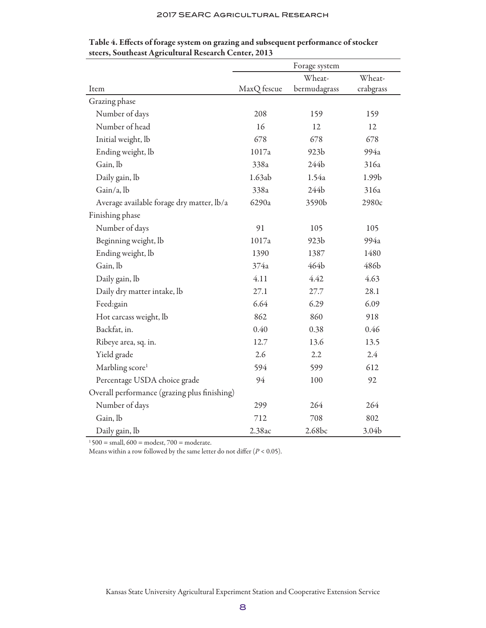|                                              | Forage system |                  |           |
|----------------------------------------------|---------------|------------------|-----------|
|                                              |               | Wheat-           | Wheat-    |
| Item                                         | MaxQ fescue   | bermudagrass     | crabgrass |
| Grazing phase                                |               |                  |           |
| Number of days                               | 208           | 159              | 159       |
| Number of head                               | 16            | 12               | 12        |
| Initial weight, lb                           | 678           | 678              | 678       |
| Ending weight, lb                            | 1017a         | 923 <sub>b</sub> | 994a      |
| Gain, lb                                     | 338a          | 244b             | 316a      |
| Daily gain, lb                               | 1.63ab        | 1.54a            | 1.99b     |
| Gain/a, lb                                   | 338a          | 244b             | 316a      |
| Average available forage dry matter, lb/a    | 6290a         | 3590b            | 2980c     |
| Finishing phase                              |               |                  |           |
| Number of days                               | 91            | 105              | 105       |
| Beginning weight, lb                         | 1017a         | 923 <sub>b</sub> | 994a      |
| Ending weight, lb                            | 1390          | 1387             | 1480      |
| Gain, lb                                     | 374a          | 464b             | 486b      |
| Daily gain, lb                               | 4.11          | 4.42             | 4.63      |
| Daily dry matter intake, lb                  | 27.1          | 27.7             | 28.1      |
| Feed:gain                                    | 6.64          | 6.29             | 6.09      |
| Hot carcass weight, lb                       | 862           | 860              | 918       |
| Backfat, in.                                 | 0.40          | 0.38             | 0.46      |
| Ribeye area, sq. in.                         | 12.7          | 13.6             | 13.5      |
| Yield grade                                  | 2.6           | 2.2              | 2.4       |
| Marbling score <sup>1</sup>                  | 594           | 599              | 612       |
| Percentage USDA choice grade                 | 94            | 100              | 92        |
| Overall performance (grazing plus finishing) |               |                  |           |
| Number of days                               | 299           | 264              | 264       |
| Gain, lb                                     | 712           | 708              | 802       |
| Daily gain, lb                               | 2.38ac        | 2.68bc           | 3.04b     |

Table 4. Effects of forage system on grazing and subsequent performance of stocker steers, Southeast Agricultural Research Center, 2013

 $1500$  = small,  $600$  = modest,  $700$  = moderate.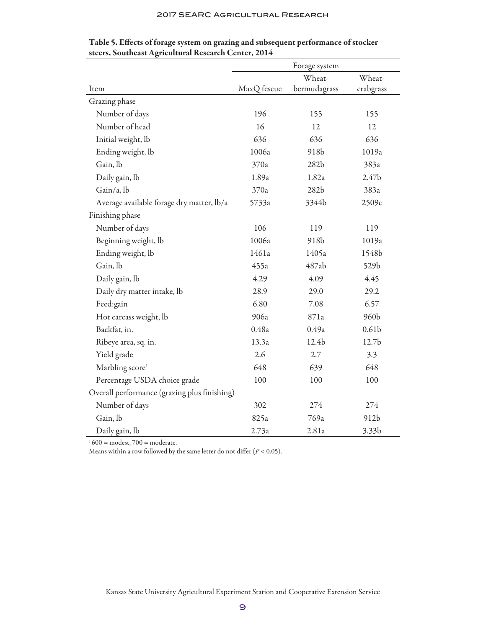|                                              | Forage system |                  |                   |
|----------------------------------------------|---------------|------------------|-------------------|
|                                              |               | Wheat-           | Wheat-            |
| Item                                         | MaxQ fescue   | bermudagrass     | crabgrass         |
| Grazing phase                                |               |                  |                   |
| Number of days                               | 196           | 155              | 155               |
| Number of head                               | 16            | 12               | 12                |
| Initial weight, lb                           | 636           | 636              | 636               |
| Ending weight, lb                            | 1006a         | 918b             | 1019a             |
| Gain, lb                                     | 370a          | 282 <sub>b</sub> | 383a              |
| Daily gain, lb                               | 1.89a         | 1.82a            | 2.47 <sub>b</sub> |
| Gain/a, lb                                   | 370a          | 282 <sub>b</sub> | 383a              |
| Average available forage dry matter, lb/a    | 5733a         | 3344b            | 2509c             |
| Finishing phase                              |               |                  |                   |
| Number of days                               | 106           | 119              | 119               |
| Beginning weight, lb                         | 1006a         | 918 <sub>b</sub> | 1019a             |
| Ending weight, lb                            | 1461a         | 1405a            | 1548b             |
| Gain, lb                                     | 455a          | 487ab            | 529b              |
| Daily gain, lb                               | 4.29          | 4.09             | 4.45              |
| Daily dry matter intake, lb                  | 28.9          | 29.0             | 29.2              |
| Feed:gain                                    | 6.80          | 7.08             | 6.57              |
| Hot carcass weight, lb                       | 906a          | 871a             | 960b              |
| Backfat, in.                                 | 0.48a         | 0.49a            | 0.61 <sub>b</sub> |
| Ribeye area, sq. in.                         | 13.3a         | 12.4b            | 12.7 <sub>b</sub> |
| Yield grade                                  | 2.6           | 2.7              | 3.3               |
| Marbling score <sup>1</sup>                  | 648           | 639              | 648               |
| Percentage USDA choice grade                 | 100           | 100              | 100               |
| Overall performance (grazing plus finishing) |               |                  |                   |
| Number of days                               | 302           | 274              | 274               |
| Gain, lb                                     | 825a          | 769a             | 912b              |
| Daily gain, lb                               | 2.73a         | 2.81a            | 3.33 <sub>b</sub> |

Table 5. Effects of forage system on grazing and subsequent performance of stocker steers, Southeast Agricultural Research Center, 2014

 $1600$  = modest,  $700$  = moderate.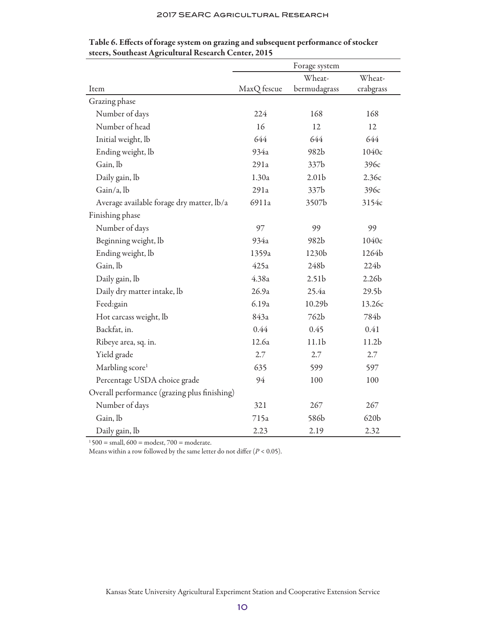|                                              | Forage system |                   |                   |
|----------------------------------------------|---------------|-------------------|-------------------|
|                                              |               | Wheat-            | Wheat-            |
| Item                                         | MaxQ fescue   | bermudagrass      | crabgrass         |
| Grazing phase                                |               |                   |                   |
| Number of days                               | 224           | 168               | 168               |
| Number of head                               | 16            | 12                | 12                |
| Initial weight, lb                           | 644           | 644               | 644               |
| Ending weight, lb                            | 934a          | 982b              | 1040c             |
| Gain, lb                                     | 291a          | 337b              | 396с              |
| Daily gain, lb                               | 1.30a         | 2.01 <sub>b</sub> | 2.36c             |
| Gain/a, lb                                   | 291a          | 337b              | 396с              |
| Average available forage dry matter, lb/a    | 6911a         | 3507b             | 3154c             |
| Finishing phase                              |               |                   |                   |
| Number of days                               | 97            | 99                | 99                |
| Beginning weight, lb                         | 934a          | 982b              | 1040c             |
| Ending weight, lb                            | 1359a         | 1230b             | 1264b             |
| Gain, lb                                     | 425a          | 248b              | 224b              |
| Daily gain, lb                               | 4.38a         | 2.51 <sub>b</sub> | 2.26 <sub>b</sub> |
| Daily dry matter intake, lb                  | 26.9a         | 25.4a             | 29.5 <sub>b</sub> |
| Feed:gain                                    | 6.19a         | 10.29b            | 13.26c            |
| Hot carcass weight, lb                       | 843a          | 762b              | 784b              |
| Backfat, in.                                 | 0.44          | 0.45              | 0.41              |
| Ribeye area, sq. in.                         | 12.6a         | 11.1 <sub>b</sub> | 11.2 <sub>b</sub> |
| Yield grade                                  | 2.7           | 2.7               | 2.7               |
| Marbling score <sup>1</sup>                  | 635           | 599               | 597               |
| Percentage USDA choice grade                 | 94            | 100               | 100               |
| Overall performance (grazing plus finishing) |               |                   |                   |
| Number of days                               | 321           | 267               | 267               |
| Gain, lb                                     | 715a          | 586b              | 620b              |
| Daily gain, lb                               | 2.23          | 2.19              | 2.32              |

Table 6. Effects of forage system on grazing and subsequent performance of stocker steers, Southeast Agricultural Research Center, 2015

 $1500$  = small,  $600$  = modest,  $700$  = moderate.